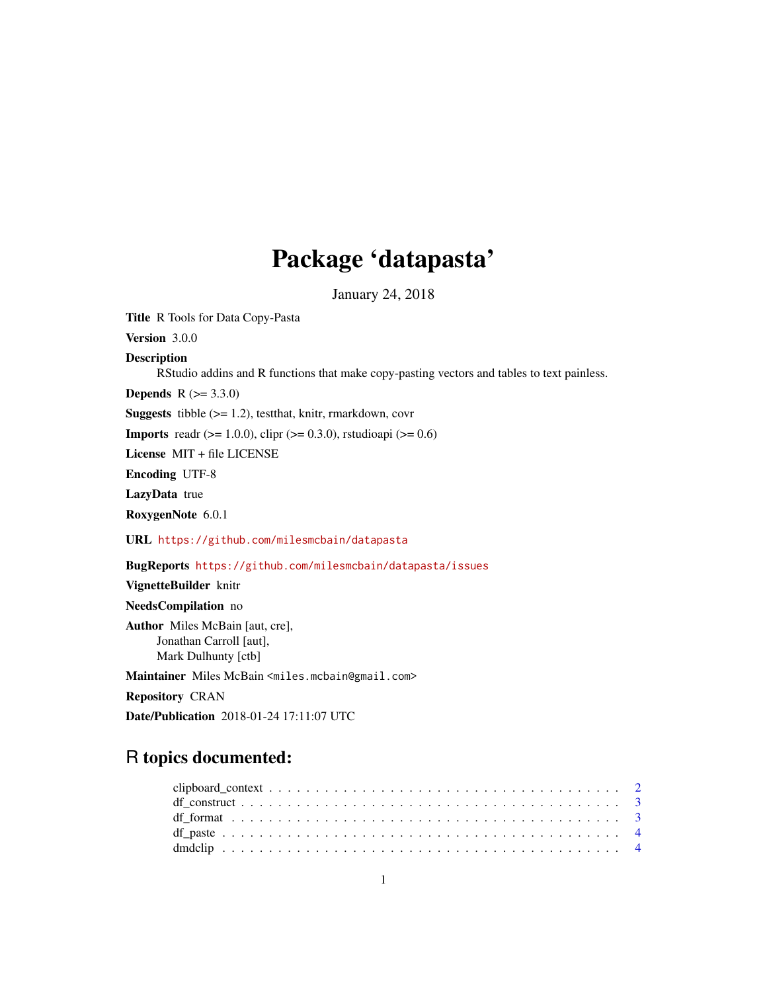# Package 'datapasta'

January 24, 2018

Title R Tools for Data Copy-Pasta

Version 3.0.0

Description

RStudio addins and R functions that make copy-pasting vectors and tables to text painless.

**Depends** R  $(>= 3.3.0)$ 

Suggests tibble (>= 1.2), testthat, knitr, rmarkdown, covr

**Imports** readr ( $> = 1.0.0$ ), clipr ( $> = 0.3.0$ ), rstudioapi ( $> = 0.6$ )

License MIT + file LICENSE

Encoding UTF-8

LazyData true

RoxygenNote 6.0.1

URL <https://github.com/milesmcbain/datapasta>

BugReports <https://github.com/milesmcbain/datapasta/issues>

VignetteBuilder knitr

NeedsCompilation no

Author Miles McBain [aut, cre], Jonathan Carroll [aut], Mark Dulhunty [ctb]

Maintainer Miles McBain <miles.mcbain@gmail.com>

Repository CRAN

Date/Publication 2018-01-24 17:11:07 UTC

# R topics documented: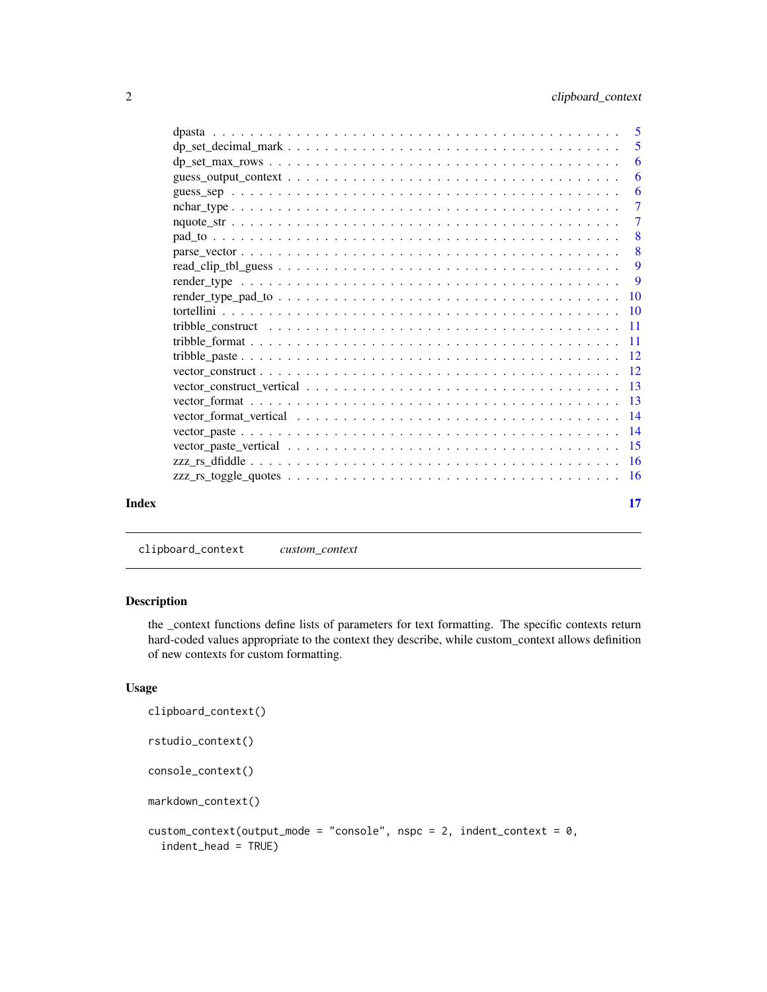<span id="page-1-0"></span>

|       | -5             |
|-------|----------------|
|       | 6              |
|       | 6              |
|       | -6             |
|       | $\overline{7}$ |
|       | $\overline{7}$ |
|       | $-8$           |
|       | 8              |
|       | 9              |
|       | 9              |
|       |                |
|       |                |
|       |                |
|       |                |
|       |                |
|       |                |
|       |                |
|       |                |
|       |                |
|       |                |
|       |                |
|       |                |
|       |                |
| Index | 17             |

clipboard\_context *custom\_context*

#### Description

the \_context functions define lists of parameters for text formatting. The specific contexts return hard-coded values appropriate to the context they describe, while custom\_context allows definition of new contexts for custom formatting.

#### Usage

```
clipboard_context()
rstudio_context()
console_context()
markdown_context()
custom_context(output_mode = "console", nspc = 2, indent_context = 0,
  indent_head = TRUE)
```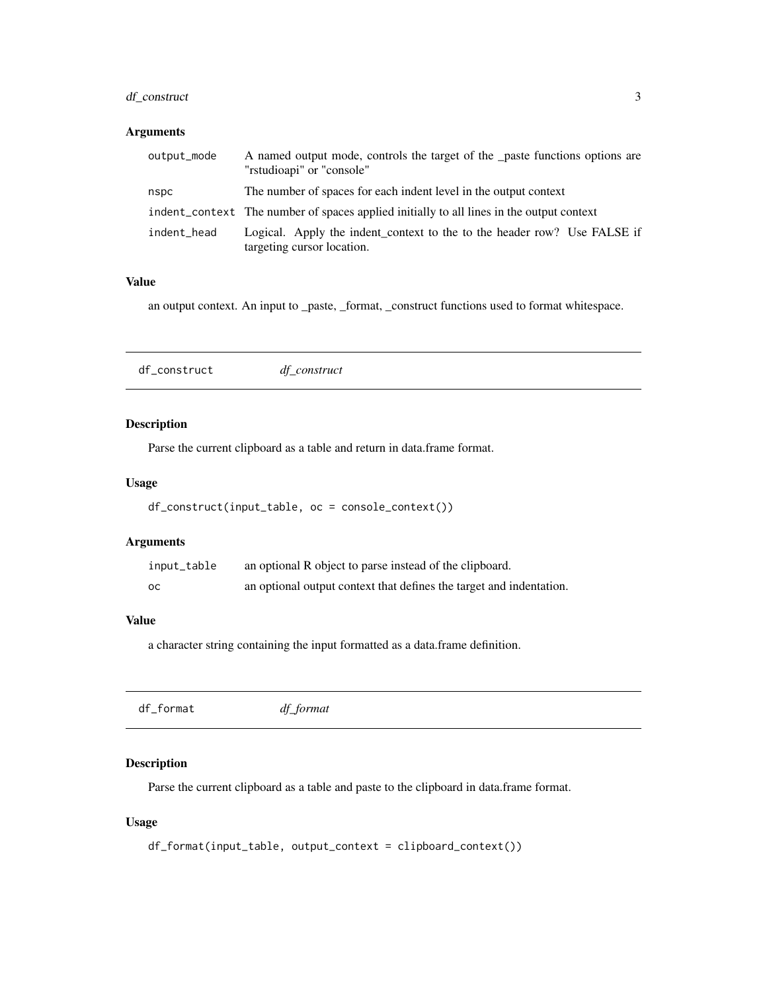## <span id="page-2-0"></span>df\_construct 3

#### Arguments

| output_mode | A named output mode, controls the target of the <u>paste</u> functions options are<br>"rstudioapi" or "console" |
|-------------|-----------------------------------------------------------------------------------------------------------------|
| nspc        | The number of spaces for each indent level in the output context                                                |
|             | indent_context The number of spaces applied initially to all lines in the output context                        |
| indent_head | Logical. Apply the indent_context to the to the header row? Use FALSE if<br>targeting cursor location.          |

#### Value

an output context. An input to \_paste, \_format, \_construct functions used to format whitespace.

df\_construct *df\_construct*

## Description

Parse the current clipboard as a table and return in data.frame format.

## Usage

```
df_construct(input_table, oc = console_context())
```
### Arguments

| input_table | an optional R object to parse instead of the clipboard.             |
|-------------|---------------------------------------------------------------------|
| ос          | an optional output context that defines the target and indentation. |

## Value

a character string containing the input formatted as a data.frame definition.

df\_format *df\_format*

## Description

Parse the current clipboard as a table and paste to the clipboard in data.frame format.

### Usage

```
df_format(input_table, output_context = clipboard_context())
```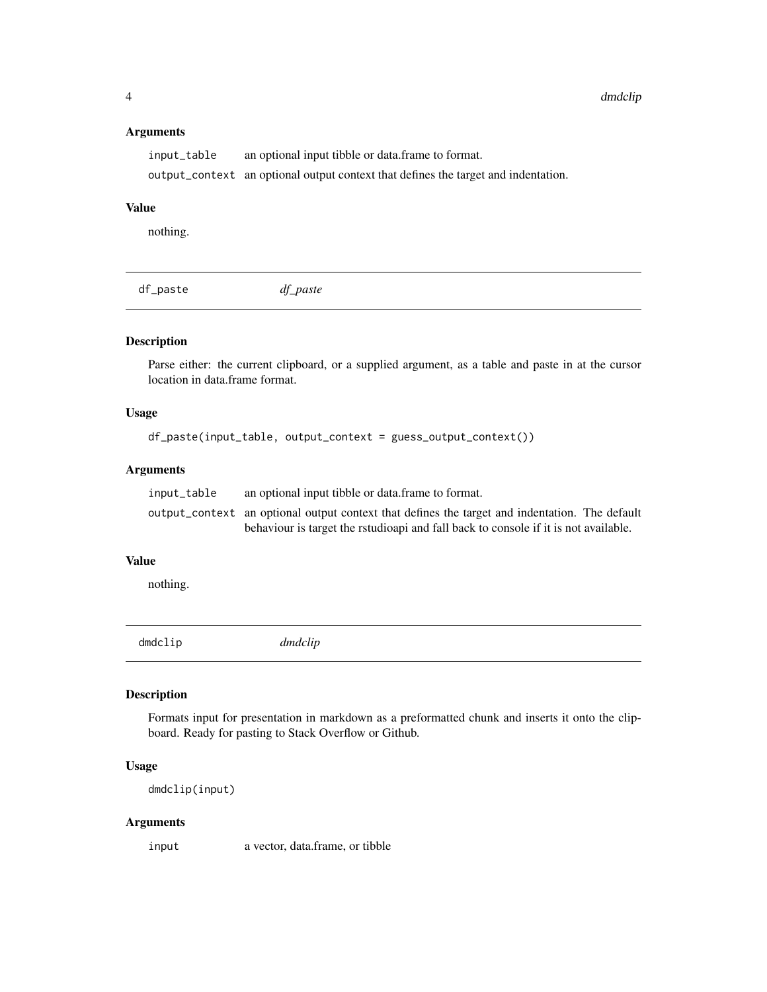#### Arguments

```
input_table an optional input tibble or data.frame to format.
output_context an optional output context that defines the target and indentation.
```
#### Value

nothing.

df\_paste *df\_paste*

# Description

Parse either: the current clipboard, or a supplied argument, as a table and paste in at the cursor location in data.frame format.

## Usage

```
df_paste(input_table, output_context = guess_output_context())
```
# Arguments

| input_table | an optional input tibble or data frame to format.                                              |
|-------------|------------------------------------------------------------------------------------------------|
|             | output_context an optional output context that defines the target and indentation. The default |
|             | behaviour is target the rstudioapi and fall back to console if it is not available.            |

#### Value

nothing.

dmdclip *dmdclip*

## Description

Formats input for presentation in markdown as a preformatted chunk and inserts it onto the clipboard. Ready for pasting to Stack Overflow or Github.

#### Usage

dmdclip(input)

#### Arguments

input a vector, data.frame, or tibble

<span id="page-3-0"></span>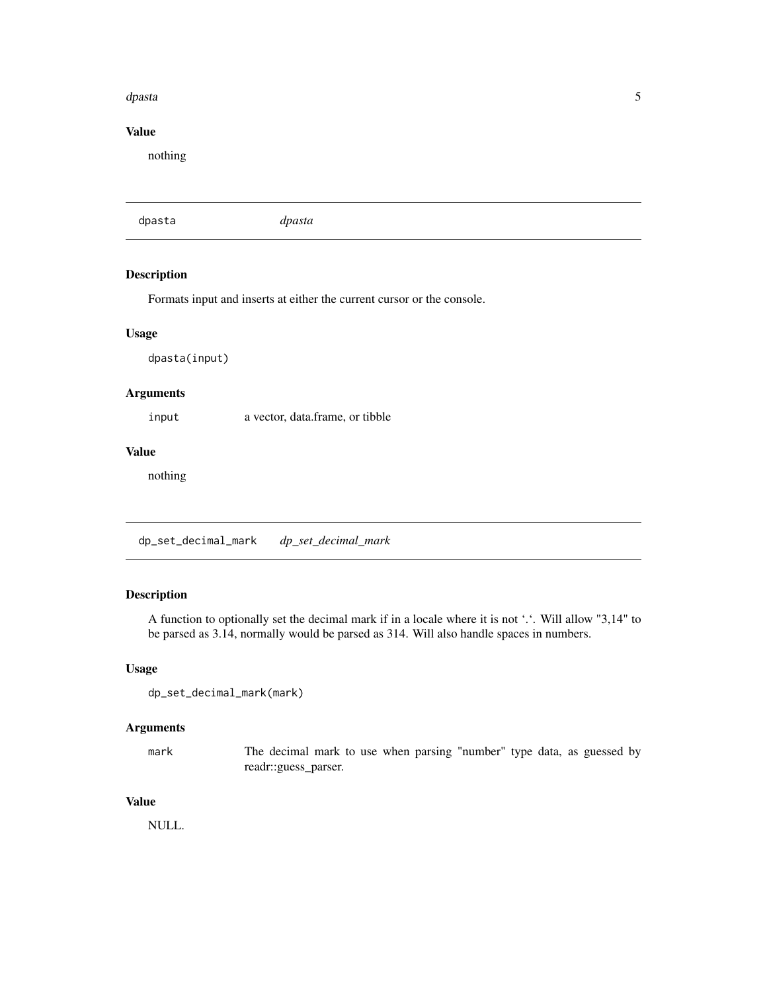#### <span id="page-4-0"></span>dpasta 5 and 5 and 5 and 5 and 5 and 5 and 5 and 5 and 5 and 5 and 5 and 5 and 5 and 5 and 5 and 5 and 5 and 5

## Value

nothing

dpasta *dpasta*

## Description

Formats input and inserts at either the current cursor or the console.

#### Usage

dpasta(input)

## Arguments

input a vector, data.frame, or tibble

## Value

nothing

dp\_set\_decimal\_mark *dp\_set\_decimal\_mark*

## Description

A function to optionally set the decimal mark if in a locale where it is not '.'. Will allow "3,14" to be parsed as 3.14, normally would be parsed as 314. Will also handle spaces in numbers.

#### Usage

```
dp_set_decimal_mark(mark)
```
#### Arguments

mark The decimal mark to use when parsing "number" type data, as guessed by readr::guess\_parser.

## Value

NULL.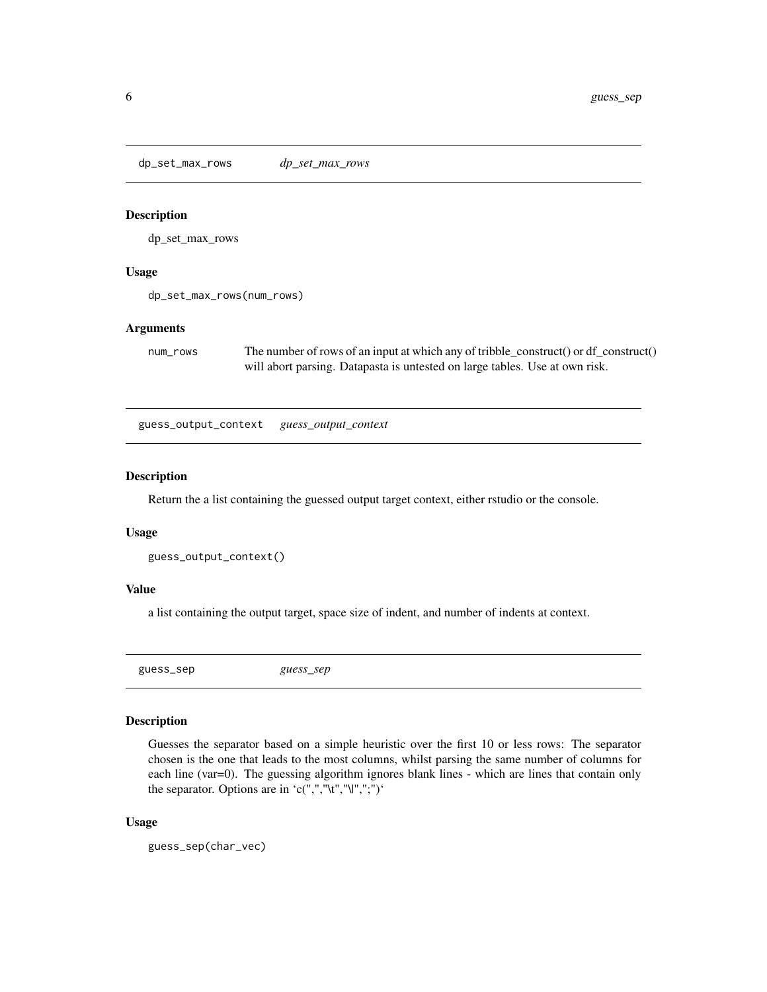<span id="page-5-0"></span>dp\_set\_max\_rows *dp\_set\_max\_rows*

#### Description

dp\_set\_max\_rows

#### Usage

dp\_set\_max\_rows(num\_rows)

#### Arguments

num\_rows The number of rows of an input at which any of tribble\_construct() or df\_construct() will abort parsing. Datapasta is untested on large tables. Use at own risk.

guess\_output\_context *guess\_output\_context*

#### Description

Return the a list containing the guessed output target context, either rstudio or the console.

#### Usage

```
guess_output_context()
```
#### Value

a list containing the output target, space size of indent, and number of indents at context.

guess\_sep *guess\_sep*

#### Description

Guesses the separator based on a simple heuristic over the first 10 or less rows: The separator chosen is the one that leads to the most columns, whilst parsing the same number of columns for each line (var=0). The guessing algorithm ignores blank lines - which are lines that contain only the separator. Options are in 'c(",","\t","\|",";")'

#### Usage

guess\_sep(char\_vec)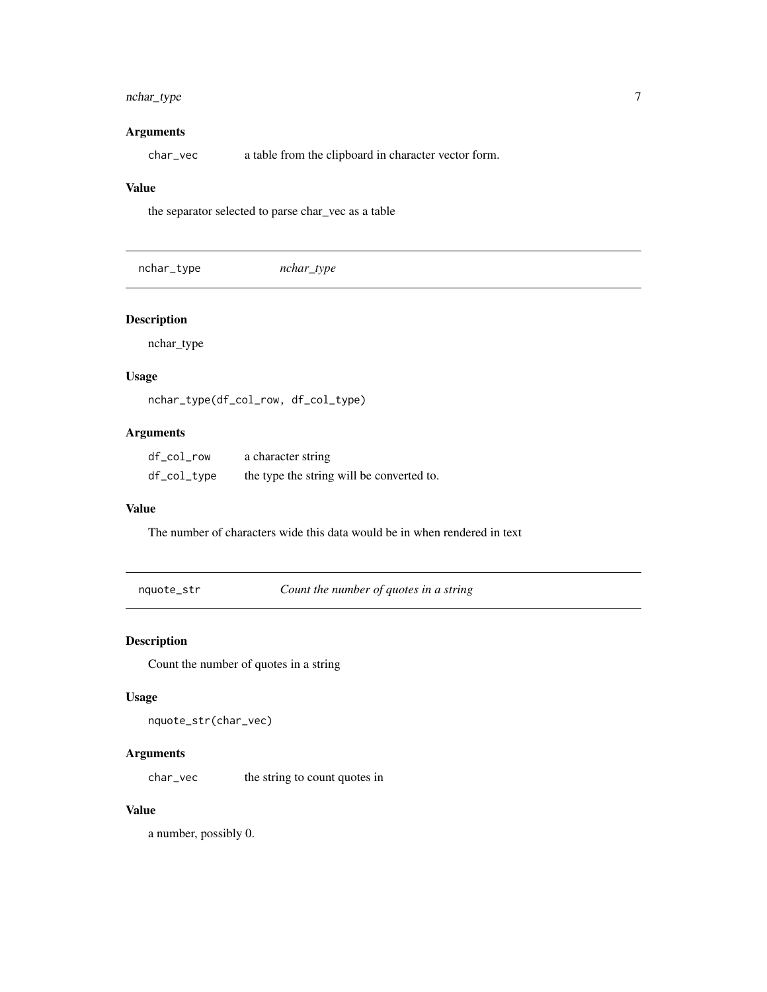# <span id="page-6-0"></span>nchar\_type 7

## Arguments

char\_vec a table from the clipboard in character vector form.

#### Value

the separator selected to parse char\_vec as a table

| nchar_type | nchar_type |  |  |
|------------|------------|--|--|
|------------|------------|--|--|

## Description

nchar\_type

#### Usage

nchar\_type(df\_col\_row, df\_col\_type)

## Arguments

| df_col_row  | a character string                        |
|-------------|-------------------------------------------|
| df_col_type | the type the string will be converted to. |

#### Value

The number of characters wide this data would be in when rendered in text

nquote\_str *Count the number of quotes in a string*

# Description

Count the number of quotes in a string

## Usage

```
nquote_str(char_vec)
```
## Arguments

char\_vec the string to count quotes in

#### Value

a number, possibly 0.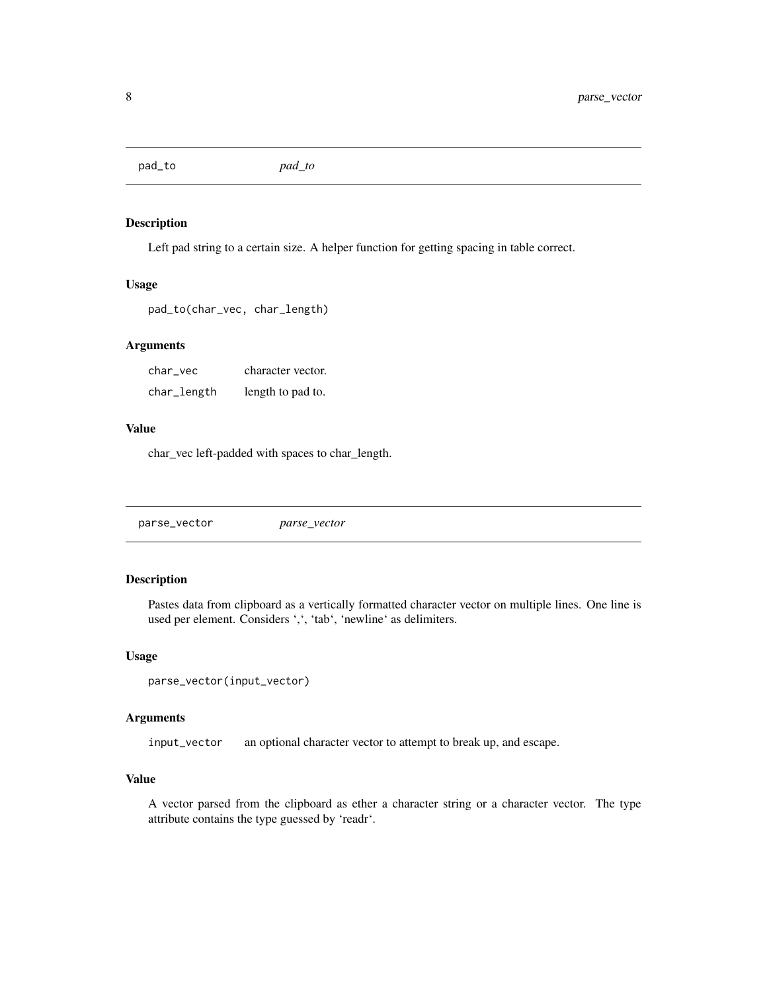<span id="page-7-0"></span>pad\_to *pad\_to*

#### Description

Left pad string to a certain size. A helper function for getting spacing in table correct.

#### Usage

```
pad_to(char_vec, char_length)
```
#### Arguments

char\_vec character vector. char\_length length to pad to.

# Value

char\_vec left-padded with spaces to char\_length.

parse\_vector *parse\_vector*

#### Description

Pastes data from clipboard as a vertically formatted character vector on multiple lines. One line is used per element. Considers ',', 'tab', 'newline' as delimiters.

#### Usage

```
parse_vector(input_vector)
```
#### Arguments

input\_vector an optional character vector to attempt to break up, and escape.

#### Value

A vector parsed from the clipboard as ether a character string or a character vector. The type attribute contains the type guessed by 'readr'.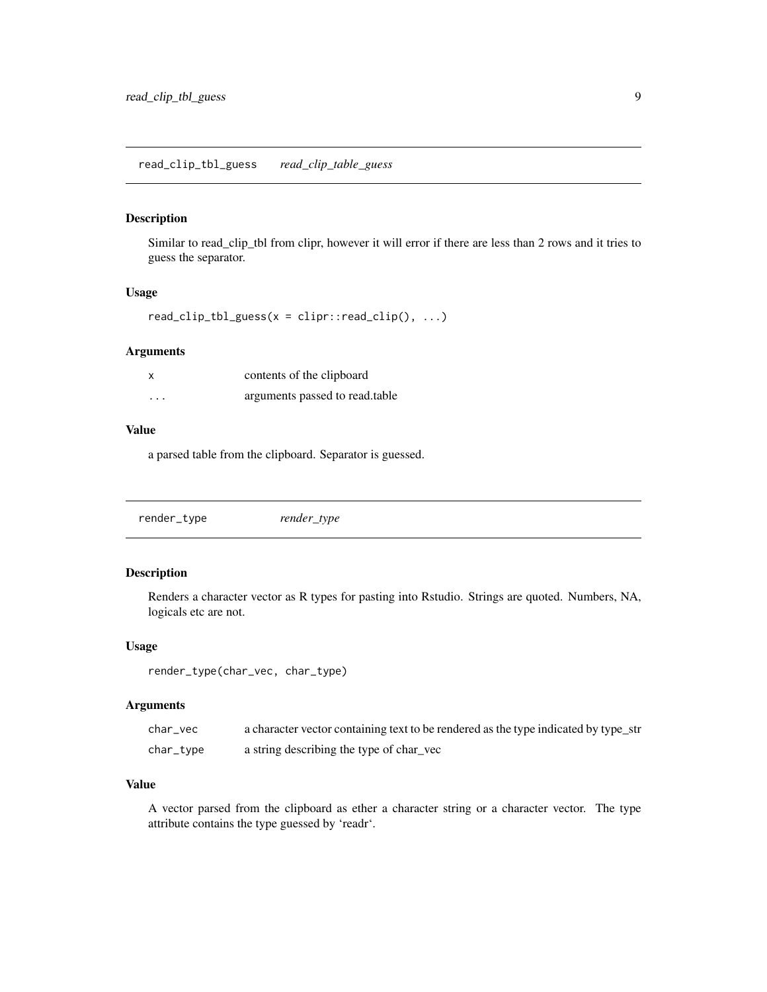#### <span id="page-8-0"></span>Description

Similar to read\_clip\_tbl from clipr, however it will error if there are less than 2 rows and it tries to guess the separator.

#### Usage

```
read\_clip\_tbl\_guess(x = clipr::read\_clip(), ...)
```
## Arguments

| x       | contents of the clipboard      |
|---------|--------------------------------|
| $\cdot$ | arguments passed to read.table |

#### Value

a parsed table from the clipboard. Separator is guessed.

render\_type *render\_type*

## Description

Renders a character vector as R types for pasting into Rstudio. Strings are quoted. Numbers, NA, logicals etc are not.

#### Usage

```
render_type(char_vec, char_type)
```
#### Arguments

| char vec  | a character vector containing text to be rendered as the type indicated by type_str |
|-----------|-------------------------------------------------------------------------------------|
| char_type | a string describing the type of char vec                                            |

## Value

A vector parsed from the clipboard as ether a character string or a character vector. The type attribute contains the type guessed by 'readr'.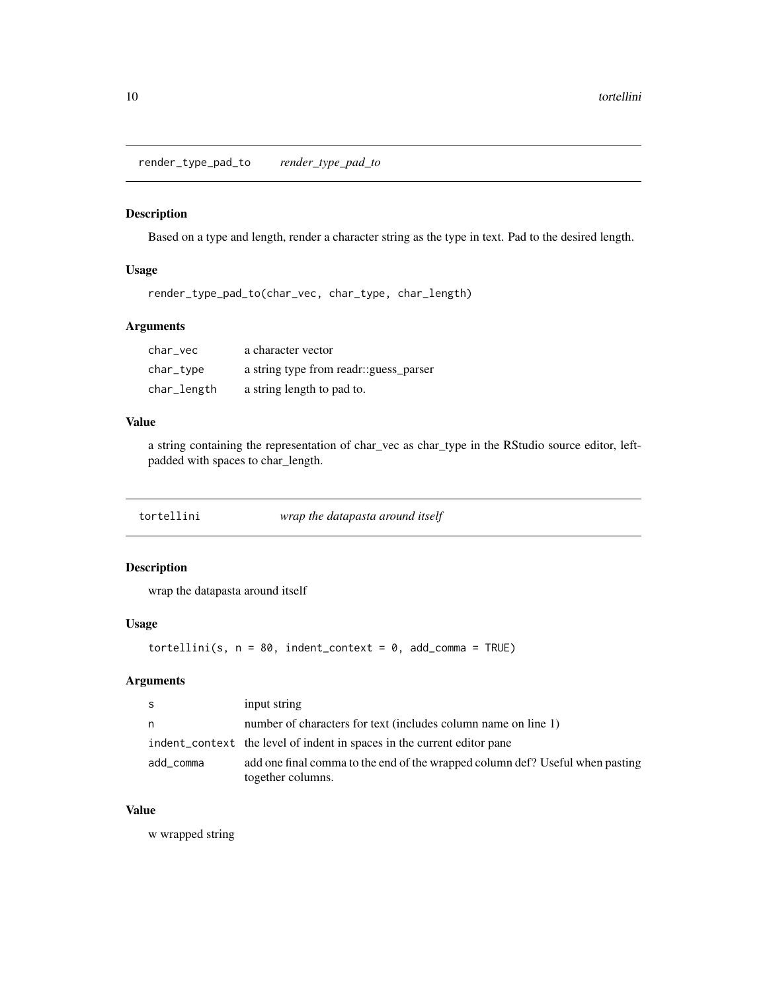<span id="page-9-0"></span>render\_type\_pad\_to *render\_type\_pad\_to*

#### Description

Based on a type and length, render a character string as the type in text. Pad to the desired length.

### Usage

render\_type\_pad\_to(char\_vec, char\_type, char\_length)

### Arguments

| char vec    | a character vector                     |
|-------------|----------------------------------------|
| char_type   | a string type from readr: guess parser |
| char_length | a string length to pad to.             |

# Value

a string containing the representation of char\_vec as char\_type in the RStudio source editor, leftpadded with spaces to char\_length.

| tortellini | wrap the datapasta around itself |
|------------|----------------------------------|
|            |                                  |

## Description

wrap the datapasta around itself

#### Usage

```
tortellini(s, n = 80, indent</u>context = 0, add_comma = TRUE)
```
# Arguments

| -S        | input string                                                                                       |
|-----------|----------------------------------------------------------------------------------------------------|
| n         | number of characters for text (includes column name on line 1)                                     |
|           | indent_context the level of indent in spaces in the current editor pane                            |
| add_comma | add one final comma to the end of the wrapped column def? Useful when pasting<br>together columns. |

#### Value

w wrapped string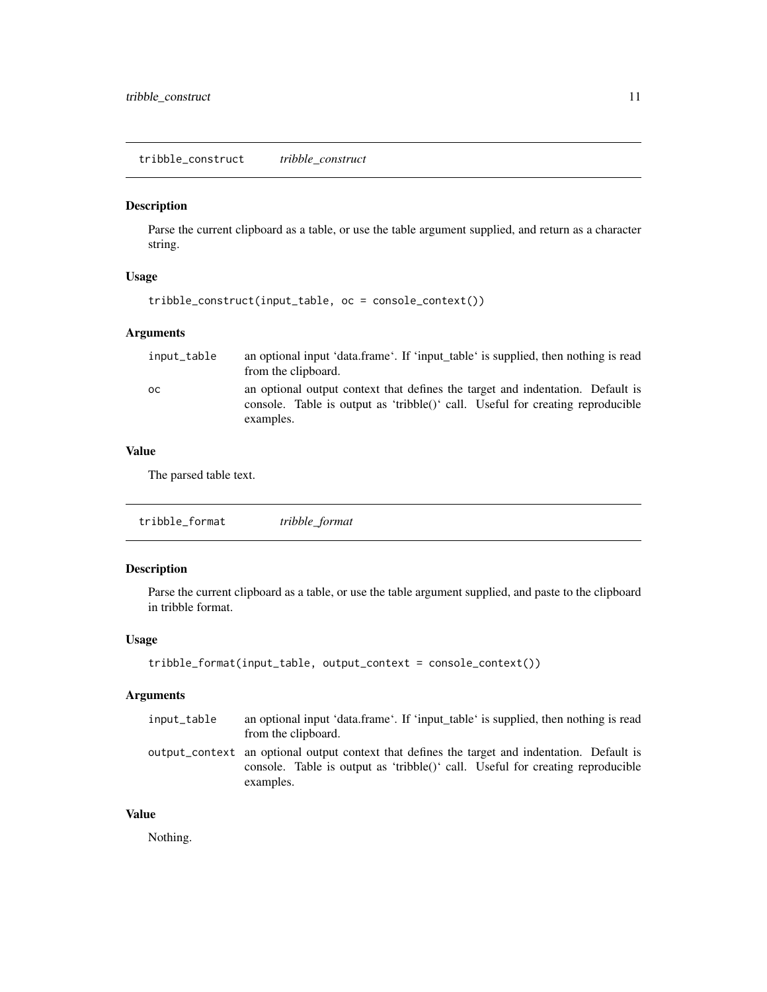<span id="page-10-0"></span>tribble\_construct *tribble\_construct*

# Description

Parse the current clipboard as a table, or use the table argument supplied, and return as a character string.

#### Usage

```
tribble_construct(input_table, oc = console_context())
```
### Arguments

| input_table | an optional input 'data.frame'. If 'input_table' is supplied, then nothing is read<br>from the clipboard.                                                                     |
|-------------|-------------------------------------------------------------------------------------------------------------------------------------------------------------------------------|
| oс          | an optional output context that defines the target and indentation. Default is<br>console. Table is output as 'tribble()' call. Useful for creating reproducible<br>examples. |

## Value

The parsed table text.

```
tribble_format tribble_format
```
## Description

Parse the current clipboard as a table, or use the table argument supplied, and paste to the clipboard in tribble format.

## Usage

```
tribble_format(input_table, output_context = console_context())
```
# Arguments

| input_table | an optional input 'data.frame'. If 'input table' is supplied, then nothing is read<br>from the clipboard.                                                                                    |
|-------------|----------------------------------------------------------------------------------------------------------------------------------------------------------------------------------------------|
|             | output_context an optional output context that defines the target and indentation. Default is<br>console. Table is output as 'tribble()' call. Useful for creating reproducible<br>examples. |

## Value

Nothing.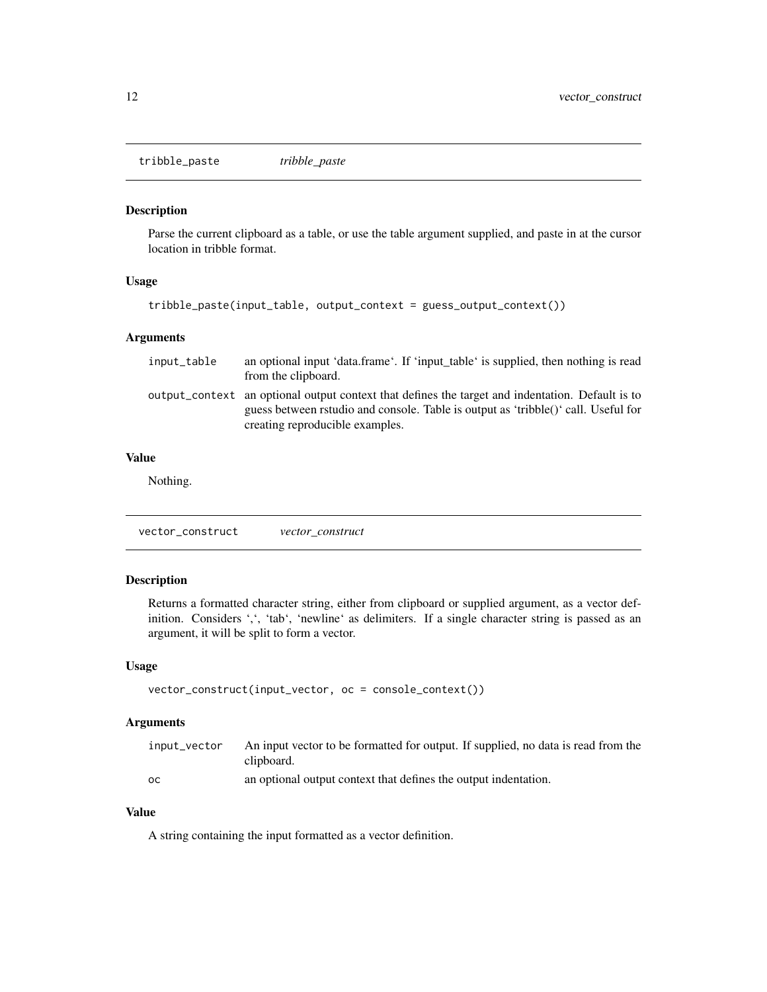<span id="page-11-0"></span>tribble\_paste *tribble\_paste*

#### Description

Parse the current clipboard as a table, or use the table argument supplied, and paste in at the cursor location in tribble format.

## Usage

```
tribble_paste(input_table, output_context = guess_output_context())
```
#### Arguments

| input_table | an optional input 'data.frame'. If 'input table' is supplied, then nothing is read<br>from the clipboard.                                                                                                                 |
|-------------|---------------------------------------------------------------------------------------------------------------------------------------------------------------------------------------------------------------------------|
|             | output_context an optional output context that defines the target and indentation. Default is to<br>guess between rstudio and console. Table is output as 'tribble()' call. Useful for<br>creating reproducible examples. |

## Value

Nothing.

vector\_construct *vector\_construct*

## Description

Returns a formatted character string, either from clipboard or supplied argument, as a vector definition. Considers ',', 'tab', 'newline' as delimiters. If a single character string is passed as an argument, it will be split to form a vector.

#### Usage

```
vector_construct(input_vector, oc = console_context())
```
## Arguments

| input_vector | An input vector to be formatted for output. If supplied, no data is read from the |
|--------------|-----------------------------------------------------------------------------------|
|              | clipboard.                                                                        |
| OC.          | an optional output context that defines the output indentation.                   |

#### Value

A string containing the input formatted as a vector definition.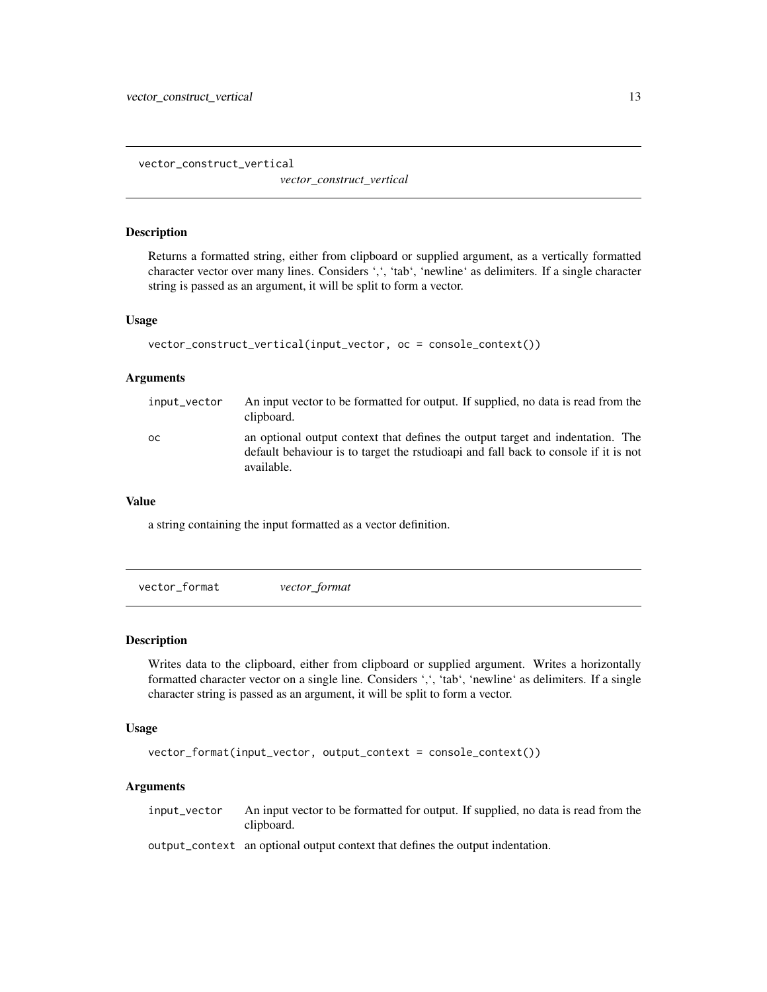<span id="page-12-0"></span>vector\_construct\_vertical

*vector\_construct\_vertical*

#### Description

Returns a formatted string, either from clipboard or supplied argument, as a vertically formatted character vector over many lines. Considers ',', 'tab', 'newline' as delimiters. If a single character string is passed as an argument, it will be split to form a vector.

#### Usage

```
vector_construct_vertical(input_vector, oc = console_context())
```
#### Arguments

| input_vector | An input vector to be formatted for output. If supplied, no data is read from the<br>clipboard.                                                                                     |
|--------------|-------------------------------------------------------------------------------------------------------------------------------------------------------------------------------------|
| OC.          | an optional output context that defines the output target and indentation. The<br>default behaviour is to target the rstudioapi and fall back to console if it is not<br>available. |

#### Value

a string containing the input formatted as a vector definition.

vector\_format *vector\_format*

#### Description

Writes data to the clipboard, either from clipboard or supplied argument. Writes a horizontally formatted character vector on a single line. Considers ',', 'tab', 'newline' as delimiters. If a single character string is passed as an argument, it will be split to form a vector.

#### Usage

```
vector_format(input_vector, output_context = console_context())
```
#### Arguments

input\_vector An input vector to be formatted for output. If supplied, no data is read from the clipboard.

output\_context an optional output context that defines the output indentation.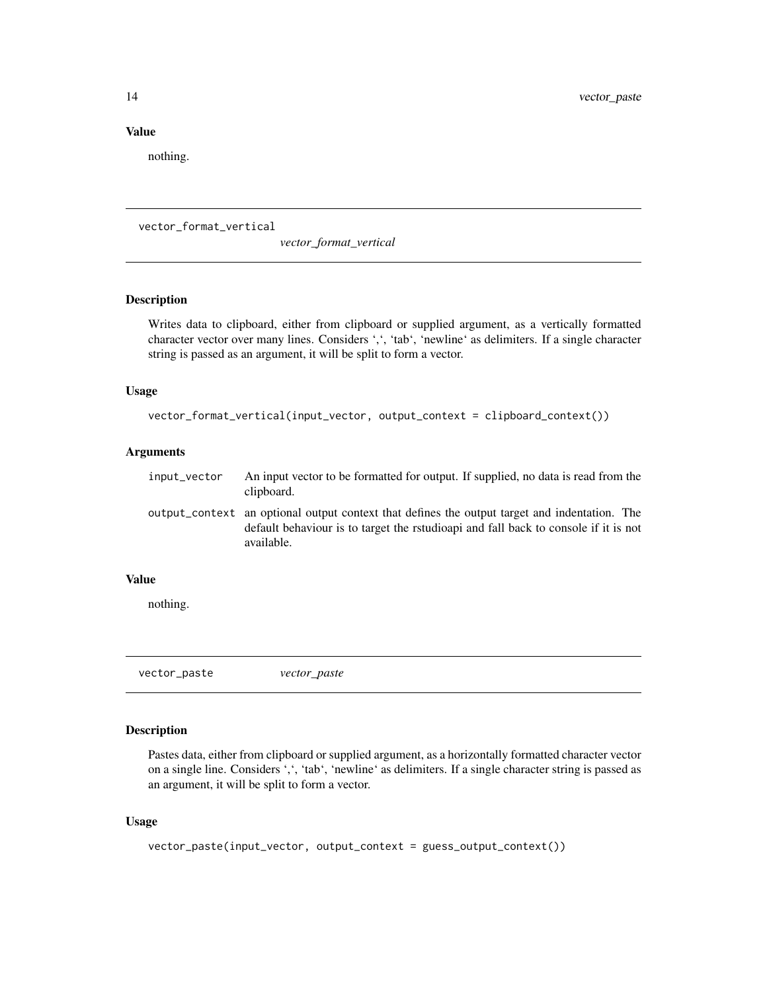#### <span id="page-13-0"></span>Value

nothing.

vector\_format\_vertical

*vector\_format\_vertical*

#### Description

Writes data to clipboard, either from clipboard or supplied argument, as a vertically formatted character vector over many lines. Considers ',', 'tab', 'newline' as delimiters. If a single character string is passed as an argument, it will be split to form a vector.

#### Usage

```
vector_format_vertical(input_vector, output_context = clipboard_context())
```
#### Arguments

| input_vector | An input vector to be formatted for output. If supplied, no data is read from the<br>clipboard.                                                                                                    |
|--------------|----------------------------------------------------------------------------------------------------------------------------------------------------------------------------------------------------|
|              | output_context an optional output context that defines the output target and indentation. The<br>default behaviour is to target the rstudioapi and fall back to console if it is not<br>available. |

#### Value

nothing.

vector\_paste *vector\_paste*

#### Description

Pastes data, either from clipboard or supplied argument, as a horizontally formatted character vector on a single line. Considers ',', 'tab', 'newline' as delimiters. If a single character string is passed as an argument, it will be split to form a vector.

#### Usage

```
vector_paste(input_vector, output_context = guess_output_context())
```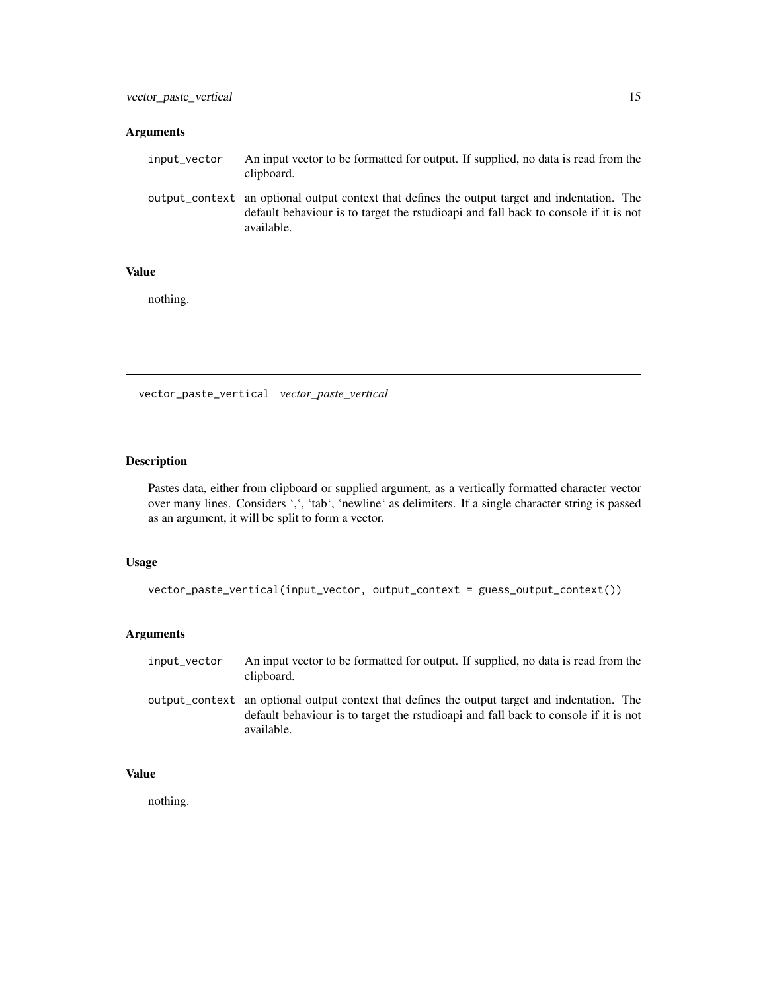#### <span id="page-14-0"></span>Arguments

| input_vector | An input vector to be formatted for output. If supplied, no data is read from the<br>clipboard.                                                                                                    |
|--------------|----------------------------------------------------------------------------------------------------------------------------------------------------------------------------------------------------|
|              | output_context an optional output context that defines the output target and indentation. The<br>default behaviour is to target the rstudioapi and fall back to console if it is not<br>available. |

## Value

nothing.

vector\_paste\_vertical *vector\_paste\_vertical*

## Description

Pastes data, either from clipboard or supplied argument, as a vertically formatted character vector over many lines. Considers ',', 'tab', 'newline' as delimiters. If a single character string is passed as an argument, it will be split to form a vector.

## Usage

```
vector_paste_vertical(input_vector, output_context = guess_output_context())
```
# Arguments

| input_vector | An input vector to be formatted for output. If supplied, no data is read from the<br>clipboard.                                                                                                    |
|--------------|----------------------------------------------------------------------------------------------------------------------------------------------------------------------------------------------------|
|              | output_context an optional output context that defines the output target and indentation. The<br>default behaviour is to target the rstudioapi and fall back to console if it is not<br>available. |

# Value

nothing.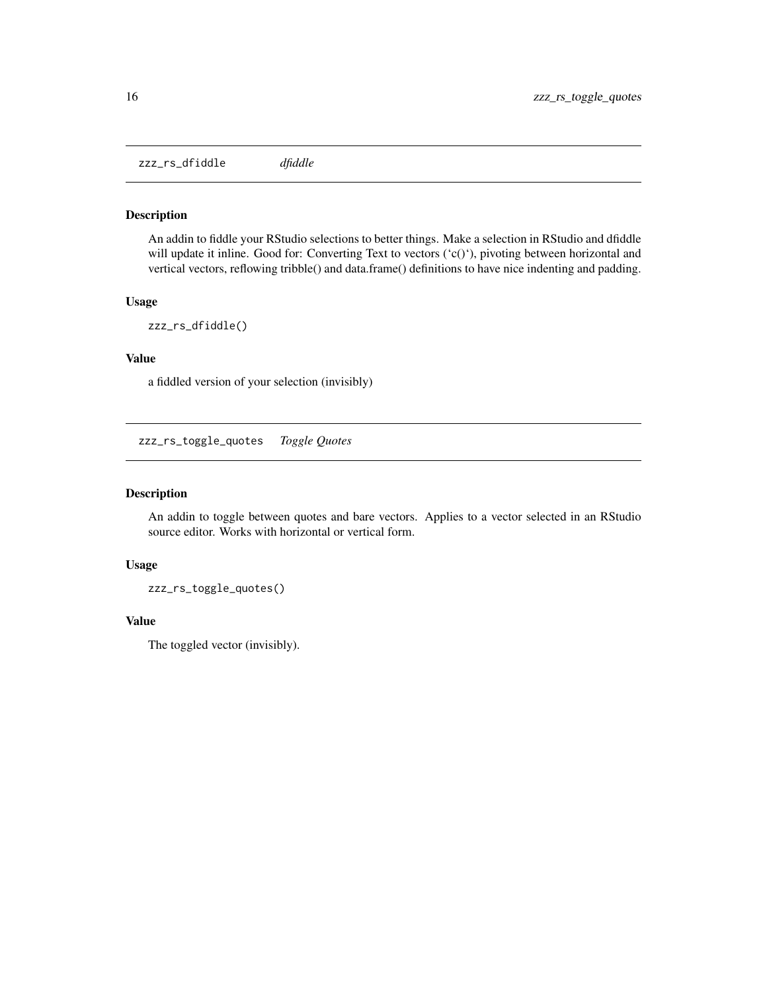<span id="page-15-0"></span>zzz\_rs\_dfiddle *dfiddle*

## Description

An addin to fiddle your RStudio selections to better things. Make a selection in RStudio and dfiddle will update it inline. Good for: Converting Text to vectors ('c()'), pivoting between horizontal and vertical vectors, reflowing tribble() and data.frame() definitions to have nice indenting and padding.

## Usage

zzz\_rs\_dfiddle()

# Value

a fiddled version of your selection (invisibly)

zzz\_rs\_toggle\_quotes *Toggle Quotes*

#### Description

An addin to toggle between quotes and bare vectors. Applies to a vector selected in an RStudio source editor. Works with horizontal or vertical form.

## Usage

zzz\_rs\_toggle\_quotes()

#### Value

The toggled vector (invisibly).